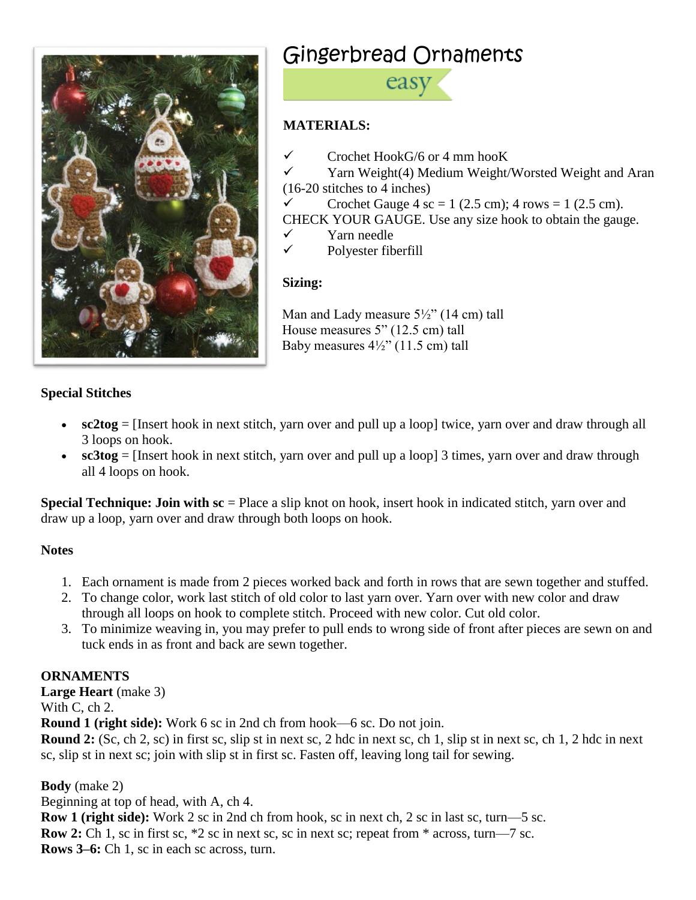

# Gingerbread Ornaments



## **MATERIALS:**

- $\checkmark$  Crochet HookG/6 or 4 mm hooK
- ✓ Yarn Weight(4) Medium Weight/Worsted Weight and Aran (16-20 stitches to 4 inches)
- $\checkmark$  Crochet Gauge 4 sc = 1 (2.5 cm); 4 rows = 1 (2.5 cm).
- CHECK YOUR GAUGE. Use any size hook to obtain the gauge.
- ✓ Yarn needle
- $\checkmark$  Polyester fiberfill

## **Sizing:**

Man and Lady measure 5½" (14 cm) tall House measures 5" (12.5 cm) tall Baby measures 4½" (11.5 cm) tall

## **Special Stitches**

- **sc2tog** = [Insert hook in next stitch, yarn over and pull up a loop] twice, yarn over and draw through all 3 loops on hook.
- **sc3tog** = [Insert hook in next stitch, yarn over and pull up a loop] 3 times, yarn over and draw through all 4 loops on hook.

**Special Technique: Join with sc** = Place a slip knot on hook, insert hook in indicated stitch, yarn over and draw up a loop, yarn over and draw through both loops on hook.

## **Notes**

- 1. Each ornament is made from 2 pieces worked back and forth in rows that are sewn together and stuffed.
- 2. To change color, work last stitch of old color to last yarn over. Yarn over with new color and draw through all loops on hook to complete stitch. Proceed with new color. Cut old color.
- 3. To minimize weaving in, you may prefer to pull ends to wrong side of front after pieces are sewn on and tuck ends in as front and back are sewn together.

## **ORNAMENTS**

**Large Heart** (make 3) With C, ch 2.

**Round 1 (right side):** Work 6 sc in 2nd ch from hook—6 sc. Do not join.

**Round 2:** (Sc, ch 2, sc) in first sc, slip st in next sc, 2 hdc in next sc, ch 1, slip st in next sc, ch 1, 2 hdc in next sc, slip st in next sc; join with slip st in first sc. Fasten off, leaving long tail for sewing.

**Body** (make 2)

Beginning at top of head, with A, ch 4. **Row 1 (right side):** Work 2 sc in 2nd ch from hook, sc in next ch, 2 sc in last sc, turn—5 sc. **Row 2:** Ch 1, sc in first sc,  $*2$  sc in next sc, sc in next sc; repeat from  $*$  across, turn—7 sc. **Rows 3–6:** Ch 1, sc in each sc across, turn.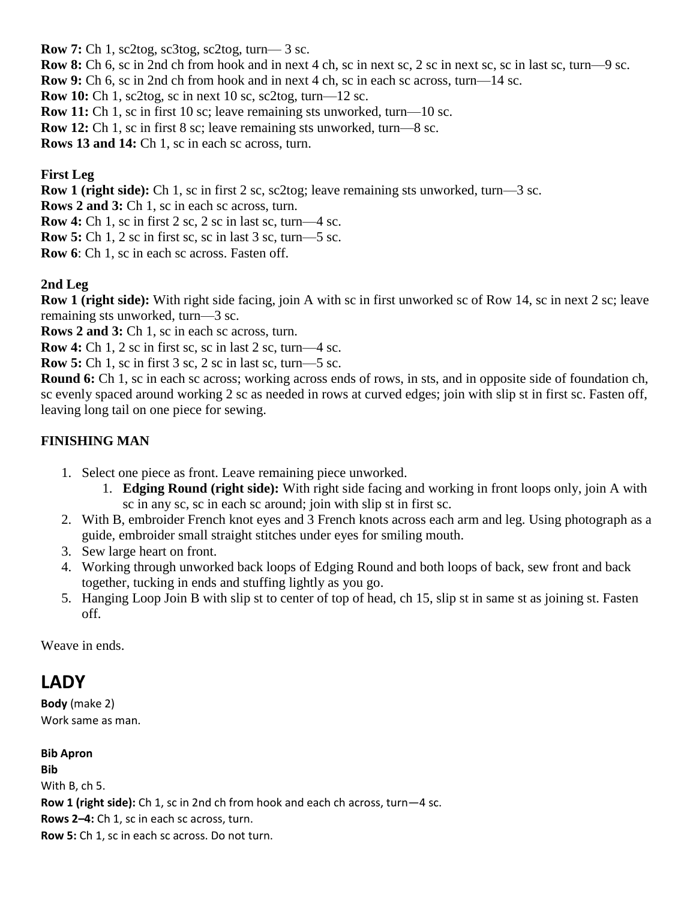**Row 7:** Ch 1, sc2tog, sc3tog, sc2tog, turn— 3 sc.

**Row 8:** Ch 6, sc in 2nd ch from hook and in next 4 ch, sc in next sc, 2 sc in next sc, sc in last sc, turn—9 sc. **Row 9:** Ch 6, sc in 2nd ch from hook and in next 4 ch, sc in each sc across, turn—14 sc.

**Row 10:** Ch 1, sc2tog, sc in next 10 sc, sc2tog, turn—12 sc.

**Row 11:** Ch 1, sc in first 10 sc; leave remaining sts unworked, turn—10 sc.

**Row 12:** Ch 1, sc in first 8 sc; leave remaining sts unworked, turn—8 sc.

**Rows 13 and 14:** Ch 1, sc in each sc across, turn.

## **First Leg**

**Row 1 (right side):** Ch 1, sc in first 2 sc, sc2tog; leave remaining sts unworked, turn—3 sc.

**Rows 2 and 3:** Ch 1, sc in each sc across, turn.

**Row 4:** Ch 1, sc in first 2 sc, 2 sc in last sc, turn—4 sc.

**Row 5:** Ch 1, 2 sc in first sc, sc in last 3 sc, turn—5 sc.

**Row 6**: Ch 1, sc in each sc across. Fasten off.

## **2nd Leg**

**Row 1 (right side):** With right side facing, join A with sc in first unworked sc of Row 14, sc in next 2 sc; leave remaining sts unworked, turn—3 sc.

**Rows 2 and 3:** Ch 1, sc in each sc across, turn.

**Row 4:** Ch 1, 2 sc in first sc, sc in last 2 sc, turn—4 sc.

**Row 5:** Ch 1, sc in first 3 sc, 2 sc in last sc, turn—5 sc.

**Round 6:** Ch 1, sc in each sc across; working across ends of rows, in sts, and in opposite side of foundation ch, sc evenly spaced around working 2 sc as needed in rows at curved edges; join with slip st in first sc. Fasten off, leaving long tail on one piece for sewing.

## **FINISHING MAN**

- 1. Select one piece as front. Leave remaining piece unworked.
	- 1. **Edging Round (right side):** With right side facing and working in front loops only, join A with sc in any sc, sc in each sc around; join with slip st in first sc.
- 2. With B, embroider French knot eyes and 3 French knots across each arm and leg. Using photograph as a guide, embroider small straight stitches under eyes for smiling mouth.
- 3. Sew large heart on front.
- 4. Working through unworked back loops of Edging Round and both loops of back, sew front and back together, tucking in ends and stuffing lightly as you go.
- 5. Hanging Loop Join B with slip st to center of top of head, ch 15, slip st in same st as joining st. Fasten off.

Weave in ends.

## **LADY**

**Body** (make 2) Work same as man.

## **Bib Apron Bib** With B, ch 5. **Row 1 (right side):** Ch 1, sc in 2nd ch from hook and each ch across, turn—4 sc. **Rows 2–4:** Ch 1, sc in each sc across, turn. **Row 5:** Ch 1, sc in each sc across. Do not turn.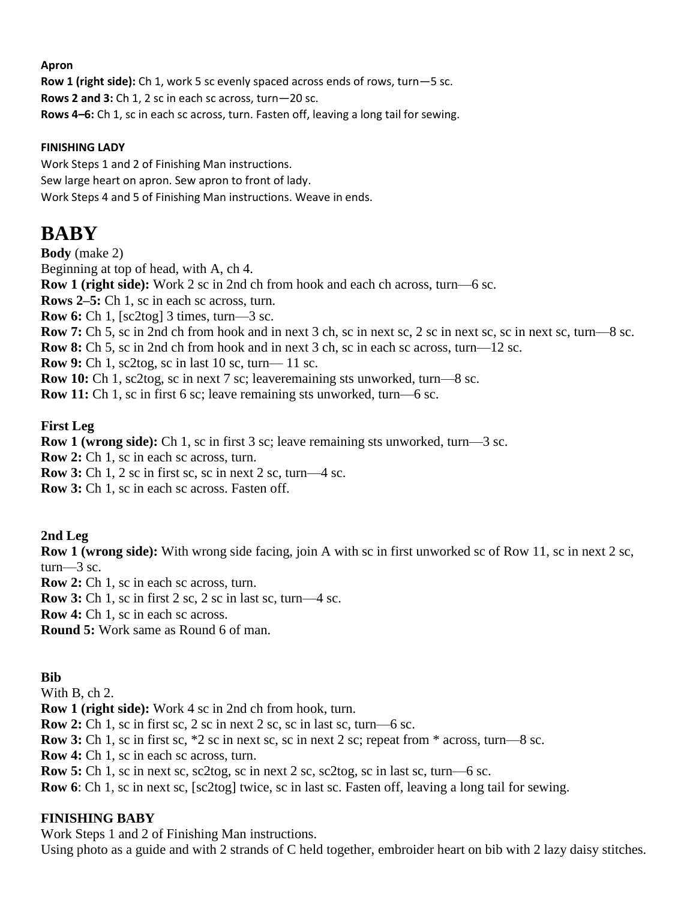#### **Apron**

**Row 1 (right side):** Ch 1, work 5 sc evenly spaced across ends of rows, turn—5 sc. **Rows 2 and 3:** Ch 1, 2 sc in each sc across, turn—20 sc. **Rows 4–6:** Ch 1, sc in each sc across, turn. Fasten off, leaving a long tail for sewing.

#### **FINISHING LADY**

Work Steps 1 and 2 of Finishing Man instructions. Sew large heart on apron. Sew apron to front of lady. Work Steps 4 and 5 of Finishing Man instructions. Weave in ends.

## **BABY**

**Body** (make 2) Beginning at top of head, with A, ch 4. **Row 1 (right side):** Work 2 sc in 2nd ch from hook and each ch across, turn—6 sc. **Rows 2–5:** Ch 1, sc in each sc across, turn. **Row 6:** Ch 1, [sc2tog] 3 times, turn—3 sc. **Row 7:** Ch 5, sc in 2nd ch from hook and in next 3 ch, sc in next sc, 2 sc in next sc, sc in next sc, turn—8 sc. **Row 8:** Ch 5, sc in 2nd ch from hook and in next 3 ch, sc in each sc across, turn—12 sc. **Row 9:** Ch 1, sc2tog, sc in last 10 sc, turn— 11 sc. **Row 10:** Ch 1, sc2tog, sc in next 7 sc; leaveremaining sts unworked, turn—8 sc. **Row 11:** Ch 1, sc in first 6 sc; leave remaining sts unworked, turn—6 sc.

**First Leg**

**Row 1 (wrong side):** Ch 1, sc in first 3 sc; leave remaining sts unworked, turn—3 sc.

**Row 2:** Ch 1, sc in each sc across, turn.

**Row 3:** Ch 1, 2 sc in first sc, sc in next 2 sc, turn—4 sc.

**Row 3:** Ch 1, sc in each sc across. Fasten off.

**2nd Leg**

**Row 1 (wrong side):** With wrong side facing, join A with sc in first unworked sc of Row 11, sc in next 2 sc, turn— $\overline{3}$  sc.

**Row 2:** Ch 1, sc in each sc across, turn.

**Row 3:** Ch 1, sc in first 2 sc, 2 sc in last sc, turn—4 sc.

**Row 4:** Ch 1, sc in each sc across.

**Round 5:** Work same as Round 6 of man.

## **Bib**

With B, ch 2.

**Row 1 (right side):** Work 4 sc in 2nd ch from hook, turn.

**Row 2:** Ch 1, sc in first sc, 2 sc in next 2 sc, sc in last sc, turn—6 sc.

**Row 3:** Ch 1, sc in first sc, \*2 sc in next sc, sc in next 2 sc; repeat from \* across, turn—8 sc.

**Row 4:** Ch 1, sc in each sc across, turn.

**Row 5:** Ch 1, sc in next sc, sc2tog, sc in next 2 sc, sc2tog, sc in last sc, turn—6 sc.

**Row 6**: Ch 1, sc in next sc, [sc2tog] twice, sc in last sc. Fasten off, leaving a long tail for sewing.

## **FINISHING BABY**

Work Steps 1 and 2 of Finishing Man instructions.

Using photo as a guide and with 2 strands of C held together, embroider heart on bib with 2 lazy daisy stitches.